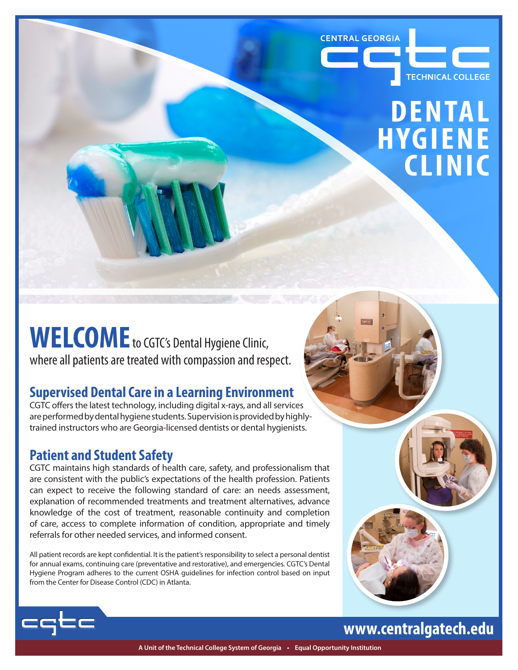

## **DENTAL HYGIENE CLINIC**

## **WELCOME**to CGTC's Dental Hygiene Clinic, where all patients are treated with compassion and respect.

## **Supervised Dental Care in a Learning Environment**

CGTC offers the latest technology, including digital x-rays, and all services are performed by dental hygiene students. Supervision is provided by highlytrained instructors who are Georgia-licensed dentists or dental hygienists.

## **Patient and Student Safety**

CGTC maintains high standards of health care, safety, and professionalism that are consistent with the public's expectations of the health profession. Patients can expect to receive the following standard of care: an needs assessment, explanation of recommended treatments and treatment alternatives, advance knowledge of the cost of treatment, reasonable continuity and completion of care, access to complete information of condition, appropriate and timely referrals for other needed services, and informed consent.

All patient records are kept confidential. It is the patient's responsibility to select a personal dentist for annual exams, continuing care (preventative and restorative), and emergencies. CGTC's Dental Hygiene Program adheres to the current OSHA guidelines for infection control based on input from the Center for Disease Control (CDC) in Atlanta.



## **www.centralgatech.edu**